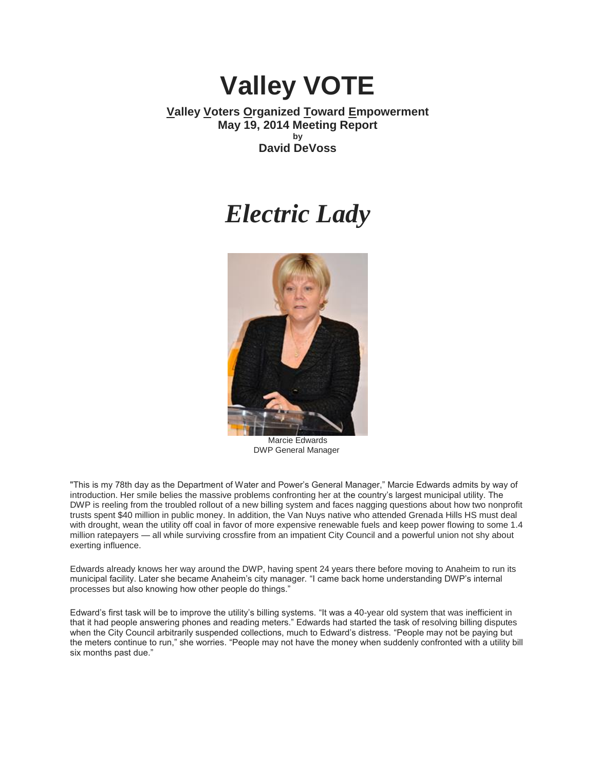# **Valley VOTE**

## **Valley Voters Organized Toward Empowerment May 19, 2014 Meeting Report by David DeVoss**

## *Electric Lady*



Marcie Edwards DWP General Manager

"This is my 78th day as the Department of Water and Power's General Manager," Marcie Edwards admits by way of introduction. Her smile belies the massive problems confronting her at the country's largest municipal utility. The DWP is reeling from the troubled rollout of a new billing system and faces nagging questions about how two nonprofit trusts spent \$40 million in public money. In addition, the Van Nuys native who attended Grenada Hills HS must deal with drought, wean the utility off coal in favor of more expensive renewable fuels and keep power flowing to some 1.4 million ratepayers — all while surviving crossfire from an impatient City Council and a powerful union not shy about exerting influence.

Edwards already knows her way around the DWP, having spent 24 years there before moving to Anaheim to run its municipal facility. Later she became Anaheim's city manager. "I came back home understanding DWP's internal processes but also knowing how other people do things."

Edward's first task will be to improve the utility's billing systems. "It was a 40-year old system that was inefficient in that it had people answering phones and reading meters." Edwards had started the task of resolving billing disputes when the City Council arbitrarily suspended collections, much to Edward's distress. "People may not be paying but the meters continue to run," she worries. "People may not have the money when suddenly confronted with a utility bill six months past due."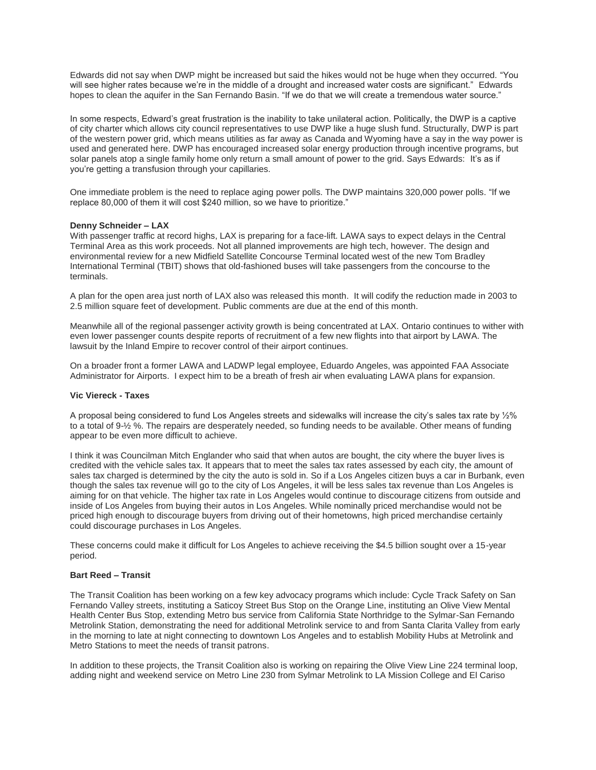Edwards did not say when DWP might be increased but said the hikes would not be huge when they occurred. "You will see higher rates because we're in the middle of a drought and increased water costs are significant." Edwards hopes to clean the aquifer in the San Fernando Basin. "If we do that we will create a tremendous water source."

In some respects, Edward's great frustration is the inability to take unilateral action. Politically, the DWP is a captive of city charter which allows city council representatives to use DWP like a huge slush fund. Structurally, DWP is part of the western power grid, which means utilities as far away as Canada and Wyoming have a say in the way power is used and generated here. DWP has encouraged increased solar energy production through incentive programs, but solar panels atop a single family home only return a small amount of power to the grid. Says Edwards: It's as if you're getting a transfusion through your capillaries.

One immediate problem is the need to replace aging power polls. The DWP maintains 320,000 power polls. "If we replace 80,000 of them it will cost \$240 million, so we have to prioritize."

## **Denny Schneider – LAX**

With passenger traffic at record highs, LAX is preparing for a face-lift. LAWA says to expect delays in the Central Terminal Area as this work proceeds. Not all planned improvements are high tech, however. The design and environmental review for a new Midfield Satellite Concourse Terminal located west of the new Tom Bradley International Terminal (TBIT) shows that old-fashioned buses will take passengers from the concourse to the terminals.

A plan for the open area just north of LAX also was released this month. It will codify the reduction made in 2003 to 2.5 million square feet of development. Public comments are due at the end of this month.

Meanwhile all of the regional passenger activity growth is being concentrated at LAX. Ontario continues to wither with even lower passenger counts despite reports of recruitment of a few new flights into that airport by LAWA. The lawsuit by the Inland Empire to recover control of their airport continues.

On a broader front a former LAWA and LADWP legal employee, Eduardo Angeles, was appointed FAA Associate Administrator for Airports. I expect him to be a breath of fresh air when evaluating LAWA plans for expansion.

## **Vic Viereck - Taxes**

A proposal being considered to fund Los Angeles streets and sidewalks will increase the city's sales tax rate by ½% to a total of 9-½ %. The repairs are desperately needed, so funding needs to be available. Other means of funding appear to be even more difficult to achieve.

I think it was Councilman Mitch Englander who said that when autos are bought, the city where the buyer lives is credited with the vehicle sales tax. It appears that to meet the sales tax rates assessed by each city, the amount of sales tax charged is determined by the city the auto is sold in. So if a Los Angeles citizen buys a car in Burbank, even though the sales tax revenue will go to the city of Los Angeles, it will be less sales tax revenue than Los Angeles is aiming for on that vehicle. The higher tax rate in Los Angeles would continue to discourage citizens from outside and inside of Los Angeles from buying their autos in Los Angeles. While nominally priced merchandise would not be priced high enough to discourage buyers from driving out of their hometowns, high priced merchandise certainly could discourage purchases in Los Angeles.

These concerns could make it difficult for Los Angeles to achieve receiving the \$4.5 billion sought over a 15-year period.

#### **Bart Reed – Transit**

The Transit Coalition has been working on a few key advocacy programs which include: Cycle Track Safety on San Fernando Valley streets, instituting a Saticoy Street Bus Stop on the Orange Line, instituting an Olive View Mental Health Center Bus Stop, extending Metro bus service from California State Northridge to the Sylmar-San Fernando Metrolink Station, demonstrating the need for additional Metrolink service to and from Santa Clarita Valley from early in the morning to late at night connecting to downtown Los Angeles and to establish Mobility Hubs at Metrolink and Metro Stations to meet the needs of transit patrons.

In addition to these projects, the Transit Coalition also is working on repairing the Olive View Line 224 terminal loop, adding night and weekend service on Metro Line 230 from Sylmar Metrolink to LA Mission College and El Cariso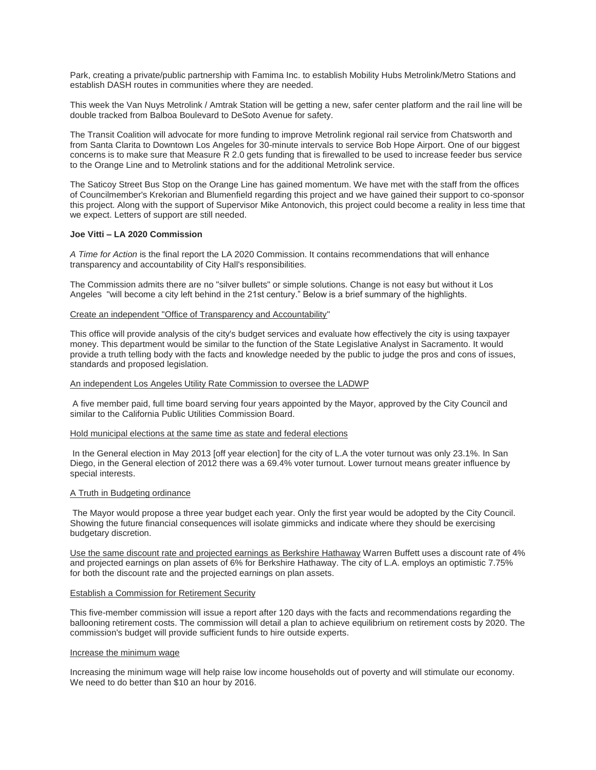Park, creating a private/public partnership with Famima Inc. to establish Mobility Hubs Metrolink/Metro Stations and establish DASH routes in communities where they are needed.

This week the Van Nuys Metrolink / Amtrak Station will be getting a new, safer center platform and the rail line will be double tracked from Balboa Boulevard to DeSoto Avenue for safety.

The Transit Coalition will advocate for more funding to improve Metrolink regional rail service from Chatsworth and from Santa Clarita to Downtown Los Angeles for 30-minute intervals to service Bob Hope Airport. One of our biggest concerns is to make sure that Measure  $\bar{R}$  2.0 gets funding that is firewalled to be used to increase feeder bus service to the Orange Line and to Metrolink stations and for the additional Metrolink service.

The Saticoy Street Bus Stop on the Orange Line has gained momentum. We have met with the staff from the offices of Councilmember's Krekorian and Blumenfield regarding this project and we have gained their support to co-sponsor this project. Along with the support of Supervisor Mike Antonovich, this project could become a reality in less time that we expect. Letters of support are still needed.

## **Joe Vitti – LA 2020 Commission**

*A Time for Action* is the final report the LA 2020 Commission. It contains recommendations that will enhance transparency and accountability of City Hall's responsibilities.

The Commission admits there are no "silver bullets" or simple solutions. Change is not easy but without it Los Angeles "will become a city left behind in the 21st century." Below is a brief summary of the highlights.

#### Create an independent "Office of Transparency and Accountability"

This office will provide analysis of the city's budget services and evaluate how effectively the city is using taxpayer money. This department would be similar to the function of the State Legislative Analyst in Sacramento. It would provide a truth telling body with the facts and knowledge needed by the public to judge the pros and cons of issues, standards and proposed legislation.

## An independent Los Angeles Utility Rate Commission to oversee the LADWP

A five member paid, full time board serving four years appointed by the Mayor, approved by the City Council and similar to the California Public Utilities Commission Board.

#### Hold municipal elections at the same time as state and federal elections

In the General election in May 2013 [off year election] for the city of L.A the voter turnout was only 23.1%. In San Diego, in the General election of 2012 there was a 69.4% voter turnout. Lower turnout means greater influence by special interests.

#### A Truth in Budgeting ordinance

The Mayor would propose a three year budget each year. Only the first year would be adopted by the City Council. Showing the future financial consequences will isolate gimmicks and indicate where they should be exercising budgetary discretion.

Use the same discount rate and projected earnings as Berkshire Hathaway Warren Buffett uses a discount rate of 4% and projected earnings on plan assets of 6% for Berkshire Hathaway. The city of L.A. employs an optimistic 7.75% for both the discount rate and the projected earnings on plan assets.

#### Establish a Commission for Retirement Security

This five-member commission will issue a report after 120 days with the facts and recommendations regarding the ballooning retirement costs. The commission will detail a plan to achieve equilibrium on retirement costs by 2020. The commission's budget will provide sufficient funds to hire outside experts.

#### Increase the minimum wage

Increasing the minimum wage will help raise low income households out of poverty and will stimulate our economy. We need to do better than \$10 an hour by 2016.